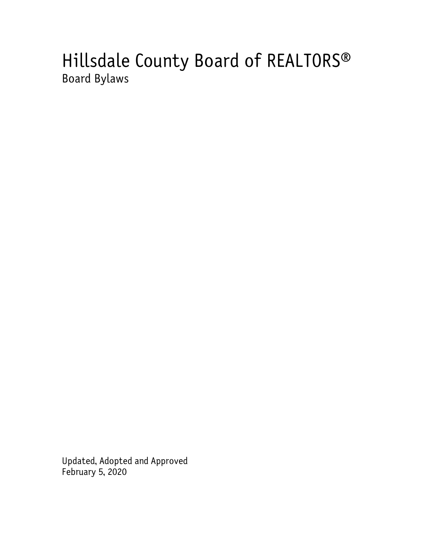# Hillsdale County Board of REALTORS® Board Bylaws

Updated, Adopted and Approved February 5, 2020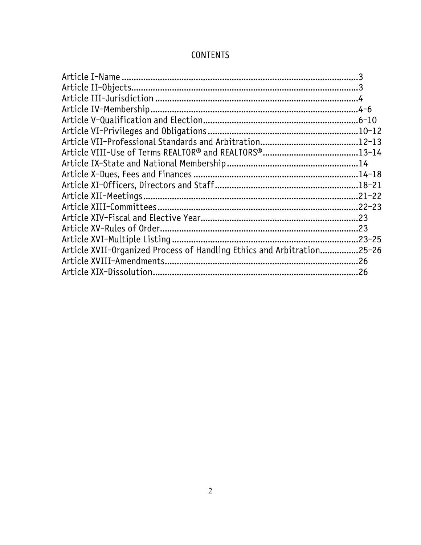| <b>CONTENTS</b> |
|-----------------|
|-----------------|

| Article XVII-Organized Process of Handling Ethics and Arbitration25-26 |  |
|------------------------------------------------------------------------|--|
|                                                                        |  |
|                                                                        |  |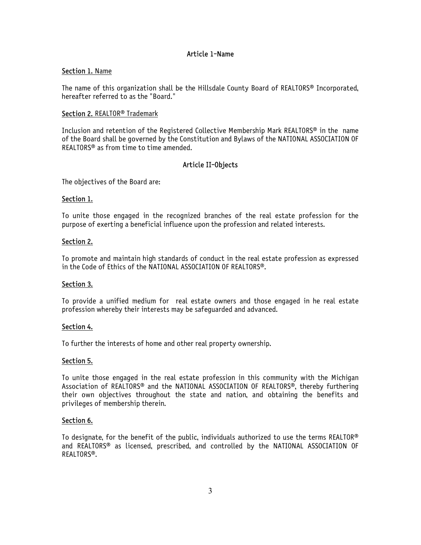# Article 1-Name

## Section 1. Name

The name of this organization shall be the Hillsdale County Board of REALTORS® Incorporated, hereafter referred to as the "Board."

## Section 2. REALTOR<sup>®</sup> Trademark

Inclusion and retention of the Registered Collective Membership Mark REALTORS® in the name of the Board shall be governed by the Constitution and Bylaws of the NATIONAL ASSOCIATION OF REALTORS® as from time to time amended.

# Article II-Objects

The objectives of the Board are:

### Section 1.

To unite those engaged in the recognized branches of the real estate profession for the purpose of exerting a beneficial influence upon the profession and related interests.

### Section 2.

To promote and maintain high standards of conduct in the real estate profession as expressed in the Code of Ethics of the NATIONAL ASSOCIATION OF REALTORS®.

## Section 3.

To provide a unified medium for real estate owners and those engaged in he real estate profession whereby their interests may be safeguarded and advanced.

## Section 4.

To further the interests of home and other real property ownership.

## Section 5.

To unite those engaged in the real estate profession in this community with the Michigan Association of REALTORS® and the NATIONAL ASSOCIATION OF REALTORS®, thereby furthering their own objectives throughout the state and nation, and obtaining the benefits and privileges of membership therein.

## Section 6.

To designate, for the benefit of the public, individuals authorized to use the terms REALTOR® and REALTORS® as licensed, prescribed, and controlled by the NATIONAL ASSOCIATION OF REALTORS®.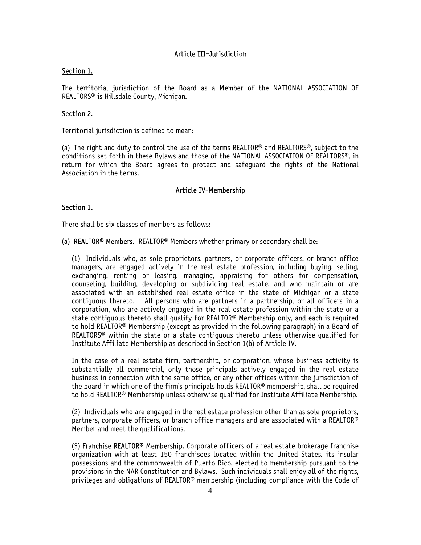# Article III-Jurisdiction

## Section 1.

The territorial jurisdiction of the Board as a Member of the NATIONAL ASSOCIATION OF REALTORS® is Hillsdale County, Michigan.

# Section 2.

Territorial jurisdiction is defined to mean:

(a) The right and duty to control the use of the terms REALTOR® and REALTORS®, subject to the conditions set forth in these Bylaws and those of the NATIONAL ASSOCIATION OF REALTORS®, in return for which the Board agrees to protect and safeguard the rights of the National Association in the terms.

# Article IV-Membership

## Section 1.

There shall be six classes of members as follows:

(a) REALTOR® Members. REALTOR® Members whether primary or secondary shall be:

(1) Individuals who, as sole proprietors, partners, or corporate officers, or branch office managers, are engaged actively in the real estate profession, including buying, selling, exchanging, renting or leasing, managing, appraising for others for compensation, counseling, building, developing or subdividing real estate, and who maintain or are associated with an established real estate office in the state of Michigan or a state contiguous thereto. All persons who are partners in a partnership, or all officers in a corporation, who are actively engaged in the real estate profession within the state or a state contiguous thereto shall qualify for REALTOR® Membership only, and each is required to hold REALTOR® Membership (except as provided in the following paragraph) in a Board of REALTORS® within the state or a state contiguous thereto unless otherwise qualified for Institute Affiliate Membership as described in Section 1(b) of Article IV.

In the case of a real estate firm, partnership, or corporation, whose business activity is substantially all commercial, only those principals actively engaged in the real estate business in connection with the same office, or any other offices within the jurisdiction of the board in which one of the firm's principals holds REALTOR® membership, shall be required to hold REALTOR® Membership unless otherwise qualified for Institute Affiliate Membership.

(2) Individuals who are engaged in the real estate profession other than as sole proprietors, partners, corporate officers, or branch office managers and are associated with a REALTOR® Member and meet the qualifications.

(3) Franchise REALTOR<sup>®</sup> Membership. Corporate officers of a real estate brokerage franchise organization with at least 150 franchisees located within the United States, its insular possessions and the commonwealth of Puerto Rico, elected to membership pursuant to the provisions in the NAR Constitution and Bylaws. Such individuals shall enjoy all of the rights, privileges and obligations of REALTOR® membership (including compliance with the Code of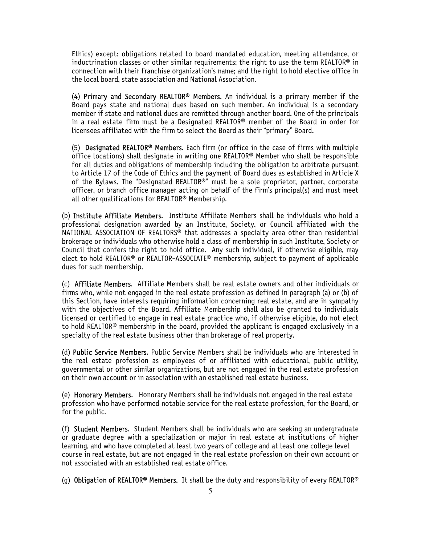Ethics) except: obligations related to board mandated education, meeting attendance, or indoctrination classes or other similar requirements; the right to use the term REALTOR® in connection with their franchise organization's name; and the right to hold elective office in the local board, state association and National Association.

(4) Primary and Secondary REALTOR® Members. An individual is a primary member if the Board pays state and national dues based on such member. An individual is a secondary member if state and national dues are remitted through another board. One of the principals in a real estate firm must be a Designated REALTOR® member of the Board in order for licensees affiliated with the firm to select the Board as their "primary" Board.

(5) Designated REALTOR® Members. Each firm (or office in the case of firms with multiple office locations) shall designate in writing one REALTOR® Member who shall be responsible for all duties and obligations of membership including the obligation to arbitrate pursuant to Article 17 of the Code of Ethics and the payment of Board dues as established in Article X of the Bylaws. The "Designated REALTOR®" must be a sole proprietor, partner, corporate officer, or branch office manager acting on behalf of the firm's principal(s) and must meet all other qualifications for REALTOR® Membership.

(b) Institute Affiliate Members. Institute Affiliate Members shall be individuals who hold a professional designation awarded by an Institute, Society, or Council affiliated with the NATIONAL ASSOCIATION OF REALTORS® that addresses a specialty area other than residential brokerage or individuals who otherwise hold a class of membership in such Institute, Society or Council that confers the right to hold office. Any such individual, if otherwise eligible, may elect to hold REALTOR® or REALTOR-ASSOCIATE® membership, subject to payment of applicable dues for such membership.

(c) Affiliate Members. Affiliate Members shall be real estate owners and other individuals or firms who, while not engaged in the real estate profession as defined in paragraph (a) or (b) of this Section, have interests requiring information concerning real estate, and are in sympathy with the objectives of the Board. Affiliate Membership shall also be granted to individuals licensed or certified to engage in real estate practice who, if otherwise eligible, do not elect to hold REALTOR® membership in the board, provided the applicant is engaged exclusively in a specialty of the real estate business other than brokerage of real property.

(d) Public Service Members. Public Service Members shall be individuals who are interested in the real estate profession as employees of or affiliated with educational, public utility, governmental or other similar organizations, but are not engaged in the real estate profession on their own account or in association with an established real estate business.

(e) Honorary Members. Honorary Members shall be individuals not engaged in the real estate profession who have performed notable service for the real estate profession, for the Board, or for the public.

(f) Student Members. Student Members shall be individuals who are seeking an undergraduate or graduate degree with a specialization or major in real estate at institutions of higher learning, and who have completed at least two years of college and at least one college level course in real estate, but are not engaged in the real estate profession on their own account or not associated with an established real estate office.

(g) Obligation of REALTOR<sup>®</sup> Members. It shall be the duty and responsibility of every REALTOR<sup>®</sup>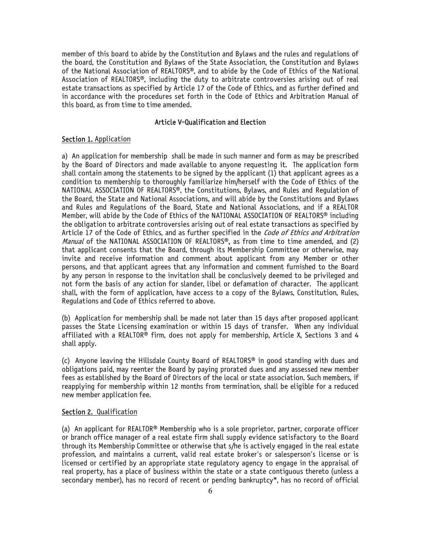member of this board to abide by the Constitution and Bylaws and the rules and regulations of the board, the Constitution and Bylaws of the State Association, the Constitution and Bylaws of the National Association of REALTORS®, and to abide by the Code of Ethics of the National Association of REALTORS®, including the duty to arbitrate controversies arising out of real estate transactions as specified by Article 17 of the Code of Ethics, and as further defined and in accordance with the procedures set forth in the Code of Ethics and Arbitration Manual of this board, as from time to time amended.

# Article V-Qualification and Election

#### Section 1. Application

a) An application for membership shall be made in such manner and form as may be prescribed by the Board of Directors and made available to anyone requesting it. The application form shall contain among the statements to be signed by the applicant (1) that applicant agrees as a condition to membership to thoroughly familiarize him/herself with the Code of Ethics of the NATIONAL ASSOCIATION OF REALTORS®, the Constitutions, Bylaws, and Rules and Regulation of the Board, the State and National Associations, and will abide by the Constitutions and Bylaws and Rules and Regulations of the Board, State and National Associations, and if a REALTOR Member, will abide by the Code of Ethics of the NATIONAL ASSOCIATION OF REALTORS® including the obligation to arbitrate controversies arising out of real estate transactions as specified by Article 17 of the Code of Ethics, and as further specified in the *Code of Ethics and Arbitration Manual* of the NATIONAL ASSOCIATION OF REALTORS®, as from time to time amended, and (2) that applicant consents that the Board, through its Membership Committee or otherwise, may invite and receive information and comment about applicant from any Member or other persons, and that applicant agrees that any information and comment furnished to the Board by any person in response to the invitation shall be conclusively deemed to be privileged and not form the basis of any action for slander, libel or defamation of character. The applicant shall, with the form of application, have access to a copy of the Bylaws, Constitution, Rules, Regulations and Code of Ethics referred to above.

(b) Application for membership shall be made not later than 15 days after proposed applicant passes the State Licensing examination or within 15 days of transfer. When any individual affiliated with a REALTOR<sup>®</sup> firm, does not apply for membership, Article X, Sections 3 and 4 shall apply.

(c) Anyone leaving the Hillsdale County Board of REALTORS<sup>®</sup> in good standing with dues and obligations paid, may reenter the Board by paying prorated dues and any assessed new member fees as established by the Board of Directors of the local or state association. Such members, if reapplying for membership within 12 months from termination, shall be eligible for a reduced new member application fee.

#### Section 2. Qualification

(a) An applicant for REALTOR® Membership who is a sole proprietor, partner, corporate officer or branch office manager of a real estate firm shall supply evidence satisfactory to the Board through its Membership Committee or otherwise that s/he is actively engaged in the real estate profession, and maintains a current, valid real estate broker's or salesperson's license or is licensed or certified by an appropriate state regulatory agency to engage in the appraisal of real property, has a place of business within the state or a state contiguous thereto (unless a secondary member), has no record of recent or pending bankruptcy\*, has no record of official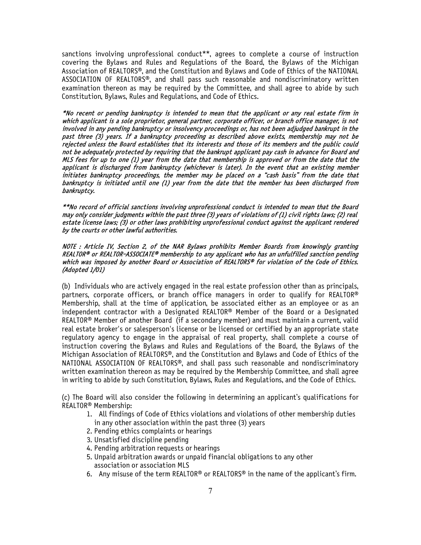sanctions involving unprofessional conduct\*\*, agrees to complete a course of instruction covering the Bylaws and Rules and Regulations of the Board, the Bylaws of the Michigan Association of REALTORS®, and the Constitution and Bylaws and Code of Ethics of the NATIONAL ASSOCIATION OF REALTORS®, and shall pass such reasonable and nondiscriminatory written examination thereon as may be required by the Committee, and shall agree to abide by such Constitution, Bylaws, Rules and Regulations, and Code of Ethics.

\*No recent or pending bankruptcy is intended to mean that the applicant or any real estate firm in which applicant is a sole proprietor, general partner, corporate officer, or branch office manager, is not involved in any pending bankruptcy or insolvency proceedings or, has not been adjudged bankrupt in the past three (3) years. If a bankruptcy proceeding as described above exists, membership may not be rejected unless the Board establishes that its interests and those of its members and the public could not be adequately protected by requiring that the bankrupt applicant pay cash in advance for Board and MLS fees for up to one (1) year from the date that membership is approved or from the date that the applicant is discharged from bankruptcy (whichever is later). In the event that an existing member initiates bankruptcy proceedings, the member may be placed on a "cash basis" from the date that bankruptcy is initiated until one (1) year from the date that the member has been discharged from bankruptcy.

\*\*No record of official sanctions involving unprofessional conduct is intended to mean that the Board may only consider judgments within the past three (3) years of violations of (1) civil rights laws; (2) real estate license laws; (3) or other laws prohibiting unprofessional conduct against the applicant rendered by the courts or other lawful authorities.

#### NOTE : Article IV, Section 2, of the NAR Bylaws prohibits Member Boards from knowingly granting REALTOR® or REALTOR-ASSOCIATE® membership to any applicant who has an unfulfilled sanction pending which was imposed by another Board or Association of REALTORS® for violation of the Code of Ethics. (Adopted 1/01)

(b) Individuals who are actively engaged in the real estate profession other than as principals, partners, corporate officers, or branch office managers in order to qualify for REALTOR® Membership, shall at the time of application, be associated either as an employee or as an independent contractor with a Designated REALTOR® Member of the Board or a Designated REALTOR® Member of another Board (if a secondary member) and must maintain a current, valid real estate broker's or salesperson's license or be licensed or certified by an appropriate state regulatory agency to engage in the appraisal of real property, shall complete a course of instruction covering the Bylaws and Rules and Regulations of the Board, the Bylaws of the Michigan Association of REALTORS®, and the Constitution and Bylaws and Code of Ethics of the NATIONAL ASSOCIATION OF REALTORS®, and shall pass such reasonable and nondiscriminatory written examination thereon as may be required by the Membership Committee, and shall agree in writing to abide by such Constitution, Bylaws, Rules and Regulations, and the Code of Ethics.

(c) The Board will also consider the following in determining an applicant's qualifications for REALTOR® Membership:

- 1. All findings of Code of Ethics violations and violations of other membership duties in any other association within the past three (3) years
- 2. Pending ethics complaints or hearings
- 3. Unsatisfied discipline pending
- 4. Pending arbitration requests or hearings
- 5. Unpaid arbitration awards or unpaid financial obligations to any other association or association MLS
- 6. Any misuse of the term REALTOR<sup>®</sup> or REALTORS<sup>®</sup> in the name of the applicant's firm.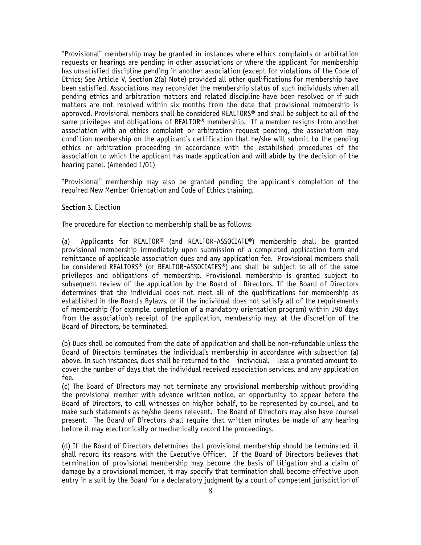"Provisional" membership may be granted in instances where ethics complaints or arbitration requests or hearings are pending in other associations or where the applicant for membership has unsatisfied discipline pending in another association (except for violations of the Code of Ethics; See Article V, Section 2(a) Note) provided all other qualifications for membership have been satisfied. Associations may reconsider the membership status of such individuals when all pending ethics and arbitration matters and related discipline have been resolved or if such matters are not resolved within six months from the date that provisional membership is approved. Provisional members shall be considered REALTORS® and shall be subject to all of the same privileges and obligations of REALTOR® membership. If a member resigns from another association with an ethics complaint or arbitration request pending, the association may condition membership on the applicant's certification that he/she will submit to the pending ethics or arbitration proceeding in accordance with the established procedures of the association to which the applicant has made application and will abide by the decision of the hearing panel. (Amended 1/01)

"Provisional" membership may also be granted pending the applicant's completion of the required New Member Orientation and Code of Ethics training.

### Section 3. Election

The procedure for election to membership shall be as follows:

(a) Applicants for REALTOR® (and REALTOR-ASSOCIATE®) membership shall be granted provisional membership immediately upon submission of a completed application form and remittance of applicable association dues and any application fee. Provisional members shall be considered REALTORS® (or REALTOR-ASSOCIATES®) and shall be subject to all of the same privileges and obligations of membership. Provisional membership is granted subject to subsequent review of the application by the Board of Directors. If the Board of Directors determines that the individual does not meet all of the qualifications for membership as established in the Board's Bylaws, or if the individual does not satisfy all of the requirements of membership (for example, completion of a mandatory orientation program) within 190 days from the association's receipt of the application, membership may, at the discretion of the Board of Directors, be terminated.

(b) Dues shall be computed from the date of application and shall be non-refundable unless the Board of Directors terminates the individual's membership in accordance with subsection (a) above. In such instances, dues shall be returned to the individual, less a prorated amount to cover the number of days that the individual received association services, and any application fee.

(c) The Board of Directors may not terminate any provisional membership without providing the provisional member with advance written notice, an opportunity to appear before the Board of Directors, to call witnesses on his/her behalf, to be represented by counsel, and to make such statements as he/she deems relevant. The Board of Directors may also have counsel present. The Board of Directors shall require that written minutes be made of any hearing before it may electronically or mechanically record the proceedings.

(d) If the Board of Directors determines that provisional membership should be terminated, it shall record its reasons with the Executive Officer. If the Board of Directors believes that termination of provisional membership may become the basis of litigation and a claim of damage by a provisional member, it may specify that termination shall become effective upon entry in a suit by the Board for a declaratory judgment by a court of competent jurisdiction of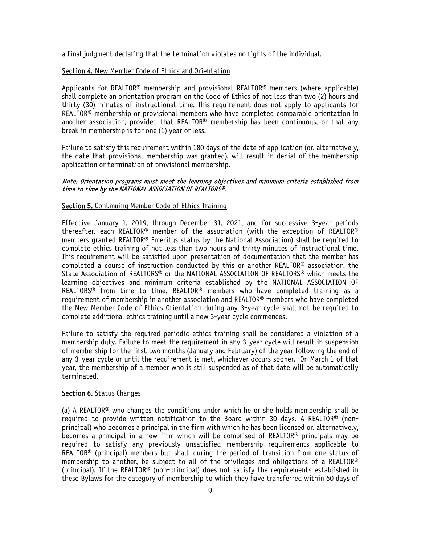a final judgment declaring that the termination violates no rights of the individual.

## Section 4. New Member Code of Ethics and Orientation

Applicants for REALTOR<sup>®</sup> membership and provisional REALTOR<sup>®</sup> members (where applicable) shall complete an orientation program on the Code of Ethics of not less than two (2) hours and thirty (30) minutes of instructional time. This requirement does not apply to applicants for REALTOR® membership or provisional members who have completed comparable orientation in another association, provided that REALTOR® membership has been continuous, or that any break in membership is for one (1) year or less.

Failure to satisfy this requirement within 180 days of the date of application (or, alternatively, the date that provisional membership was granted), will result in denial of the membership application or termination of provisional membership.

#### Note: Orientation programs must meet the learning objectives and minimum criteria established from time to time by the NATIONAL ASSOCIATION OF REALTORS®.

### Section 5. Continuing Member Code of Ethics Training

Effective January 1, 2019, through December 31, 2021, and for successive 3-year periods thereafter, each REALTOR® member of the association (with the exception of REALTOR® members granted REALTOR® Emeritus status by the National Association) shall be required to complete ethics training of not less than two hours and thirty minutes of instructional time. This requirement will be satisfied upon presentation of documentation that the member has completed a course of instruction conducted by this or another REALTOR® association, the State Association of REALTORS® or the NATIONAL ASSOCIATION OF REALTORS® which meets the learning objectives and minimum criteria established by the NATIONAL ASSOCIATION OF REALTORS® from time to time. REALTOR® members who have completed training as a requirement of membership in another association and REALTOR® members who have completed the New Member Code of Ethics Orientation during any 3-year cycle shall not be required to complete additional ethics training until a new 3-year cycle commences.

Failure to satisfy the required periodic ethics training shall be considered a violation of a membership duty. Failure to meet the requirement in any 3-year cycle will result in suspension of membership for the first two months (January and February) of the year following the end of any 3-year cycle or until the requirement is met, whichever occurs sooner. On March 1 of that year, the membership of a member who is still suspended as of that date will be automatically terminated.

#### Section 6. Status Changes

(a) A REALTOR<sup>®</sup> who changes the conditions under which he or she holds membership shall be required to provide written notification to the Board within 30 days. A REALTOR® (nonprincipal) who becomes a principal in the firm with which he has been licensed or, alternatively, becomes a principal in a new firm which will be comprised of REALTOR® principals may be required to satisfy any previously unsatisfied membership requirements applicable to REALTOR® (principal) members but shall, during the period of transition from one status of membership to another, be subject to all of the privileges and obligations of a REALTOR® (principal). If the REALTOR® (non-principal) does not satisfy the requirements established in these Bylaws for the category of membership to which they have transferred within 60 days of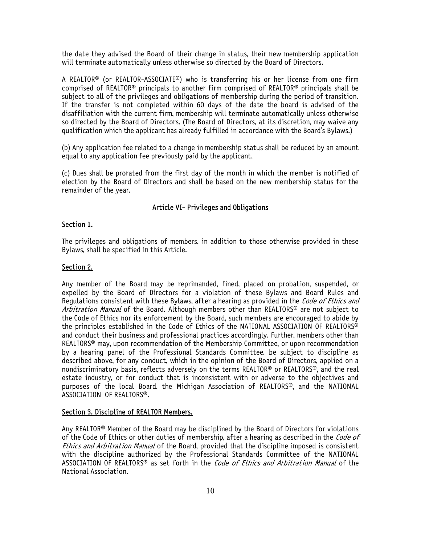the date they advised the Board of their change in status, their new membership application will terminate automatically unless otherwise so directed by the Board of Directors.

A REALTOR® (or REALTOR-ASSOCIATE®) who is transferring his or her license from one firm comprised of REALTOR® principals to another firm comprised of REALTOR® principals shall be subject to all of the privileges and obligations of membership during the period of transition. If the transfer is not completed within 60 days of the date the board is advised of the disaffiliation with the current firm, membership will terminate automatically unless otherwise so directed by the Board of Directors. (The Board of Directors, at its discretion, may waive any qualification which the applicant has already fulfilled in accordance with the Board's Bylaws.)

(b) Any application fee related to a change in membership status shall be reduced by an amount equal to any application fee previously paid by the applicant.

(c) Dues shall be prorated from the first day of the month in which the member is notified of election by the Board of Directors and shall be based on the new membership status for the remainder of the year.

#### Article VI- Privileges and Obligations

#### Section 1.

The privileges and obligations of members, in addition to those otherwise provided in these Bylaws, shall be specified in this Article.

#### Section 2.

Any member of the Board may be reprimanded, fined, placed on probation, suspended, or expelled by the Board of Directors for a violation of these Bylaws and Board Rules and Regulations consistent with these Bylaws, after a hearing as provided in the Code of Ethics and Arbitration Manual of the Board. Although members other than REALTORS<sup>®</sup> are not subject to the Code of Ethics nor its enforcement by the Board, such members are encouraged to abide by the principles established in the Code of Ethics of the NATIONAL ASSOCIATION OF REALTORS® and conduct their business and professional practices accordingly. Further, members other than REALTORS® may, upon recommendation of the Membership Committee, or upon recommendation by a hearing panel of the Professional Standards Committee, be subject to discipline as described above, for any conduct, which in the opinion of the Board of Directors, applied on a nondiscriminatory basis, reflects adversely on the terms REALTOR® or REALTORS®, and the real estate industry, or for conduct that is inconsistent with or adverse to the objectives and purposes of the local Board, the Michigan Association of REALTORS®, and the NATIONAL ASSOCIATION OF REALTORS®.

#### Section 3. Discipline of REALTOR Members.

Any REALTOR® Member of the Board may be disciplined by the Board of Directors for violations of the Code of Ethics or other duties of membership, after a hearing as described in the *Code of* Ethics and Arbitration Manual of the Board, provided that the discipline imposed is consistent with the discipline authorized by the Professional Standards Committee of the NATIONAL ASSOCIATION OF REALTORS<sup>®</sup> as set forth in the *Code of Ethics and Arbitration Manual* of the National Association.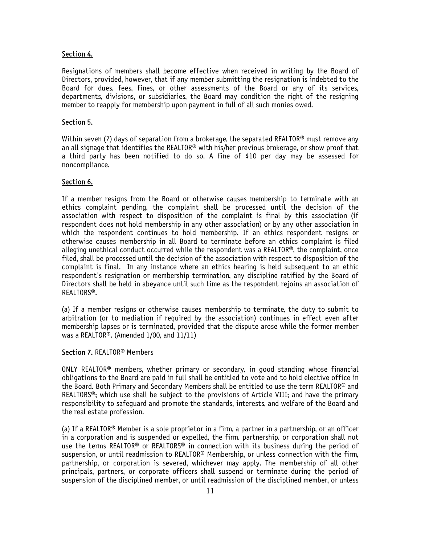## Section 4.

Resignations of members shall become effective when received in writing by the Board of Directors, provided, however, that if any member submitting the resignation is indebted to the Board for dues, fees, fines, or other assessments of the Board or any of its services, departments, divisions, or subsidiaries, the Board may condition the right of the resigning member to reapply for membership upon payment in full of all such monies owed.

### Section 5.

Within seven (7) days of separation from a brokerage, the separated REALTOR<sup>®</sup> must remove any an all signage that identifies the REALTOR® with his/her previous brokerage, or show proof that a third party has been notified to do so. A fine of \$10 per day may be assessed for noncompliance.

## Section 6.

If a member resigns from the Board or otherwise causes membership to terminate with an ethics complaint pending, the complaint shall be processed until the decision of the association with respect to disposition of the complaint is final by this association (if respondent does not hold membership in any other association) or by any other association in which the respondent continues to hold membership. If an ethics respondent resigns or otherwise causes membership in all Board to terminate before an ethics complaint is filed alleging unethical conduct occurred while the respondent was a REALTOR®, the complaint, once filed, shall be processed until the decision of the association with respect to disposition of the complaint is final. In any instance where an ethics hearing is held subsequent to an ethic respondent's resignation or membership termination, any discipline ratified by the Board of Directors shall be held in abeyance until such time as the respondent rejoins an association of REALTORS®.

(a) If a member resigns or otherwise causes membership to terminate, the duty to submit to arbitration (or to mediation if required by the association) continues in effect even after membership lapses or is terminated, provided that the dispute arose while the former member was a REALTOR®. (Amended 1/00, and 11/11)

#### Section 7. REALTOR<sup>®</sup> Members

ONLY REALTOR® members, whether primary or secondary, in good standing whose financial obligations to the Board are paid in full shall be entitled to vote and to hold elective office in the Board. Both Primary and Secondary Members shall be entitled to use the term REALTOR® and REALTORS®; which use shall be subject to the provisions of Article VIII; and have the primary responsibility to safeguard and promote the standards, interests, and welfare of the Board and the real estate profession.

(a) If a REALTOR® Member is a sole proprietor in a firm, a partner in a partnership, or an officer in a corporation and is suspended or expelled, the firm, partnership, or corporation shall not use the terms REALTOR® or REALTORS® in connection with its business during the period of suspension, or until readmission to REALTOR® Membership, or unless connection with the firm, partnership, or corporation is severed, whichever may apply. The membership of all other principals, partners, or corporate officers shall suspend or terminate during the period of suspension of the disciplined member, or until readmission of the disciplined member, or unless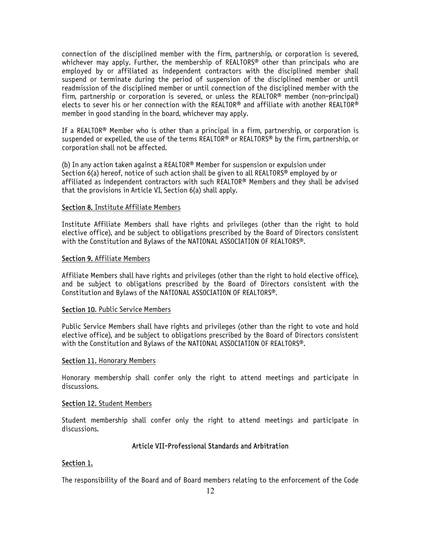connection of the disciplined member with the firm, partnership, or corporation is severed, whichever may apply. Further, the membership of REALTORS<sup>®</sup> other than principals who are employed by or affiliated as independent contractors with the disciplined member shall suspend or terminate during the period of suspension of the disciplined member or until readmission of the disciplined member or until connection of the disciplined member with the firm, partnership or corporation is severed, or unless the REALTOR® member (non-principal) elects to sever his or her connection with the REALTOR® and affiliate with another REALTOR® member in good standing in the board, whichever may apply.

If a REALTOR® Member who is other than a principal in a firm, partnership, or corporation is suspended or expelled, the use of the terms REALTOR® or REALTORS® by the firm, partnership, or corporation shall not be affected.

(b) In any action taken against a REALTOR® Member for suspension or expulsion under Section 6(a) hereof, notice of such action shall be given to all REALTORS® employed by or affiliated as independent contractors with such REALTOR® Members and they shall be advised that the provisions in Article VI, Section 6(a) shall apply.

### Section 8. Institute Affiliate Members

Institute Affiliate Members shall have rights and privileges (other than the right to hold elective office), and be subject to obligations prescribed by the Board of Directors consistent with the Constitution and Bylaws of the NATIONAL ASSOCIATION OF REALTORS®.

### Section 9. Affiliate Members

Affiliate Members shall have rights and privileges (other than the right to hold elective office), and be subject to obligations prescribed by the Board of Directors consistent with the Constitution and Bylaws of the NATIONAL ASSOCIATION OF REALTORS®.

#### Section 10. Public Service Members

Public Service Members shall have rights and privileges (other than the right to vote and hold elective office), and be subject to obligations prescribed by the Board of Directors consistent with the Constitution and Bylaws of the NATIONAL ASSOCIATION OF REALTORS®.

#### Section 11. Honorary Members

Honorary membership shall confer only the right to attend meetings and participate in discussions.

#### Section 12. Student Members

Student membership shall confer only the right to attend meetings and participate in discussions.

## Article VII-Professional Standards and Arbitration

## Section 1.

The responsibility of the Board and of Board members relating to the enforcement of the Code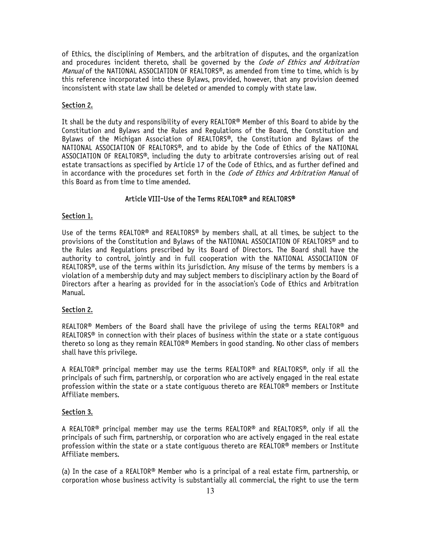of Ethics, the disciplining of Members, and the arbitration of disputes, and the organization and procedures incident thereto, shall be governed by the *Code of Ethics and Arbitration* Manual of the NATIONAL ASSOCIATION OF REALTORS®, as amended from time to time, which is by this reference incorporated into these Bylaws, provided, however, that any provision deemed inconsistent with state law shall be deleted or amended to comply with state law.

# Section 2.

It shall be the duty and responsibility of every REALTOR® Member of this Board to abide by the Constitution and Bylaws and the Rules and Regulations of the Board, the Constitution and Bylaws of the Michigan Association of REALTORS®, the Constitution and Bylaws of the NATIONAL ASSOCIATION OF REALTORS®, and to abide by the Code of Ethics of the NATIONAL ASSOCIATION OF REALTORS®, including the duty to arbitrate controversies arising out of real estate transactions as specified by Article 17 of the Code of Ethics, and as further defined and in accordance with the procedures set forth in the *Code of Ethics and Arbitration Manual* of this Board as from time to time amended.

## Article VIII-Use of the Terms REALTOR® and REALTORS®

## Section 1.

Use of the terms REALTOR® and REALTORS® by members shall, at all times, be subject to the provisions of the Constitution and Bylaws of the NATIONAL ASSOCIATION OF REALTORS® and to the Rules and Regulations prescribed by its Board of Directors. The Board shall have the authority to control, jointly and in full cooperation with the NATIONAL ASSOCIATION OF REALTORS®, use of the terms within its jurisdiction. Any misuse of the terms by members is a violation of a membership duty and may subject members to disciplinary action by the Board of Directors after a hearing as provided for in the association's Code of Ethics and Arbitration Manual.

## Section 2.

REALTOR® Members of the Board shall have the privilege of using the terms REALTOR® and REALTORS<sup>®</sup> in connection with their places of business within the state or a state contiguous thereto so long as they remain REALTOR® Members in good standing. No other class of members shall have this privilege.

A REALTOR® principal member may use the terms REALTOR® and REALTORS®, only if all the principals of such firm, partnership, or corporation who are actively engaged in the real estate profession within the state or a state contiguous thereto are REALTOR® members or Institute Affiliate members.

## Section 3.

A REALTOR® principal member may use the terms REALTOR® and REALTORS®, only if all the principals of such firm, partnership, or corporation who are actively engaged in the real estate profession within the state or a state contiguous thereto are REALTOR® members or Institute Affiliate members.

(a) In the case of a REALTOR<sup>®</sup> Member who is a principal of a real estate firm, partnership, or corporation whose business activity is substantially all commercial, the right to use the term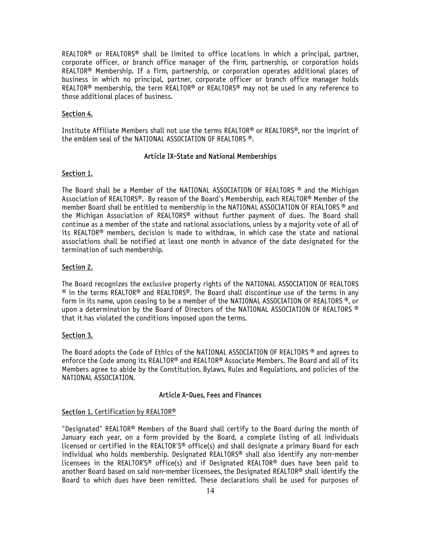REALTOR® or REALTORS® shall be limited to office locations in which a principal, partner, corporate officer, or branch office manager of the firm, partnership, or corporation holds REALTOR® Membership. If a firm, partnership, or corporation operates additional places of business in which no principal, partner, corporate officer or branch office manager holds REALTOR® membership, the term REALTOR® or REALTORS® may not be used in any reference to those additional places of business.

## Section 4.

Institute Affiliate Members shall not use the terms REALTOR® or REALTORS®, nor the imprint of the emblem seal of the NATIONAL ASSOCIATION OF REALTORS ®.

#### Article IX-State and National Memberships

#### Section 1.

The Board shall be a Member of the NATIONAL ASSOCIATION OF REALTORS ® and the Michigan Association of REALTORS®. By reason of the Board's Membership, each REALTOR® Member of the member Board shall be entitled to membership in the NATIONAL ASSOCIATION OF REALTORS ® and the Michigan Association of REALTORS® without further payment of dues. The Board shall continue as a member of the state and national associations, unless by a majority vote of all of its REALTOR® members, decision is made to withdraw, in which case the state and national associations shall be notified at least one month in advance of the date designated for the termination of such membership.

## Section 2.

The Board recognizes the exclusive property rights of the NATIONAL ASSOCIATION OF REALTORS ® in the terms REALTOR® and REALTORS®. The Board shall discontinue use of the terms in any form in its name, upon ceasing to be a member of the NATIONAL ASSOCIATION OF REALTORS  $\Phi$ , or upon a determination by the Board of Directors of the NATIONAL ASSOCIATION OF REALTORS  $\Phi$ that it has violated the conditions imposed upon the terms.

#### Section 3.

The Board adopts the Code of Ethics of the NATIONAL ASSOCIATION OF REALTORS ® and agrees to enforce the Code among its REALTOR® and REALTOR® Associate Members. The Board and all of its Members agree to abide by the Constitution, Bylaws, Rules and Regulations, and policies of the NATIONAL ASSOCIATION.

#### Article X-Dues, Fees and Finances

#### Section 1. Certification by REALTOR<sup>®</sup>

"Designated" REALTOR® Members of the Board shall certify to the Board during the month of January each year, on a form provided by the Board, a complete listing of all individuals licensed or certified in the REALTOR'S® office(s) and shall designate a primary Board for each individual who holds membership. Designated REALTORS® shall also identify any non-member licensees in the REALTOR'S® office(s) and if Designated REALTOR® dues have been paid to another Board based on said non-member licensees, the Designated REALTOR® shall identify the Board to which dues have been remitted. These declarations shall be used for purposes of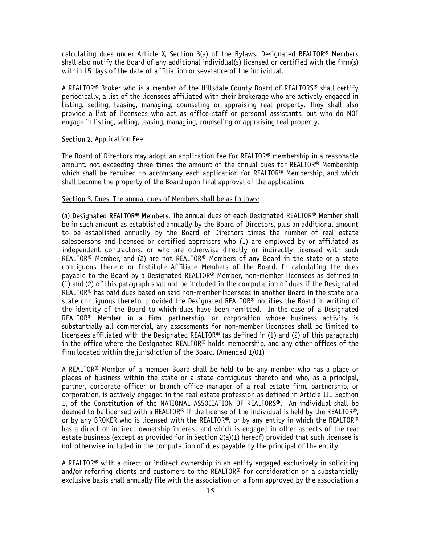calculating dues under Article X, Section 3(a) of the Bylaws. Designated REALTOR® Members shall also notify the Board of any additional individual(s) licensed or certified with the firm(s) within 15 days of the date of affiliation or severance of the individual.

A REALTOR® Broker who is a member of the Hillsdale County Board of REALTORS® shall certify periodically, a list of the licensees affiliated with their brokerage who are actively engaged in listing, selling, leasing, managing, counseling or appraising real property. They shall also provide a list of licensees who act as office staff or personal assistants, but who do NOT engage in listing, selling, leasing, managing, counseling or appraising real property.

#### Section 2. Application Fee

The Board of Directors may adopt an application fee for REALTOR® membership in a reasonable amount, not exceeding three times the amount of the annual dues for REALTOR® Membership which shall be required to accompany each application for REALTOR<sup>®</sup> Membership, and which shall become the property of the Board upon final approval of the application.

#### Section 3. Dues. The annual dues of Members shall be as follows:

(a) Designated REALTOR® Members. The annual dues of each Designated REALTOR® Member shall be in such amount as established annually by the Board of Directors, plus an additional amount to be established annually by the Board of Directors times the number of real estate salespersons and licensed or certified appraisers who (1) are employed by or affiliated as independent contractors, or who are otherwise directly or indirectly licensed with such REALTOR<sup>®</sup> Member, and (2) are not REALTOR<sup>®</sup> Members of any Board in the state or a state contiguous thereto or Institute Affiliate Members of the Board. In calculating the dues payable to the Board by a Designated REALTOR® Member, non-member licensees as defined in (1) and (2) of this paragraph shall not be included in the computation of dues if the Designated REALTOR® has paid dues based on said non-member licensees in another Board in the state or a state contiguous thereto, provided the Designated REALTOR® notifies the Board in writing of the identity of the Board to which dues have been remitted. In the case of a Designated REALTOR® Member in a firm, partnership, or corporation whose business activity is substantially all commercial, any assessments for non-member licensees shall be limited to licensees affiliated with the Designated REALTOR® (as defined in (1) and (2) of this paragraph) in the office where the Designated REALTOR<sup>®</sup> holds membership, and any other offices of the firm located within the jurisdiction of the Board. (Amended 1/01)

A REALTOR® Member of a member Board shall be held to be any member who has a place or places of business within the state or a state contiguous thereto and who, as a principal, partner, corporate officer or branch office manager of a real estate firm, partnership, or corporation, is actively engaged in the real estate profession as defined in Article III, Section 1, of the Constitution of the NATIONAL ASSOCIATION OF REALTORS®. An individual shall be deemed to be licensed with a REALTOR<sup>®</sup> if the license of the individual is held by the REALTOR<sup>®</sup>, or by any BROKER who is licensed with the REALTOR®, or by any entity in which the REALTOR® has a direct or indirect ownership interest and which is engaged in other aspects of the real estate business (except as provided for in Section 2(a)(1) hereof) provided that such licensee is not otherwise included in the computation of dues payable by the principal of the entity.

A REALTOR® with a direct or indirect ownership in an entity engaged exclusively in soliciting and/or referring clients and customers to the REALTOR® for consideration on a substantially exclusive basis shall annually file with the association on a form approved by the association a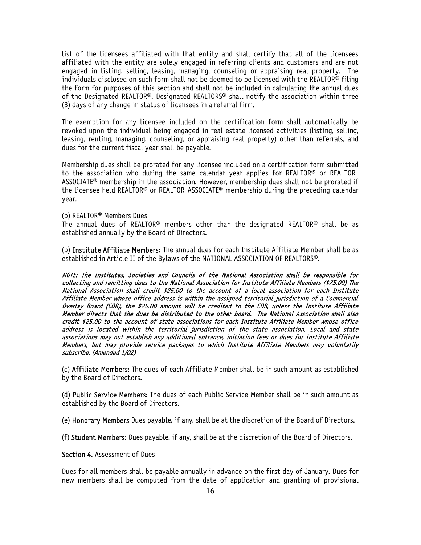list of the licensees affiliated with that entity and shall certify that all of the licensees affiliated with the entity are solely engaged in referring clients and customers and are not engaged in listing, selling, leasing, managing, counseling or appraising real property. The individuals disclosed on such form shall not be deemed to be licensed with the REALTOR® filing the form for purposes of this section and shall not be included in calculating the annual dues of the Designated REALTOR®. Designated REALTORS® shall notify the association within three (3) days of any change in status of licensees in a referral firm.

The exemption for any licensee included on the certification form shall automatically be revoked upon the individual being engaged in real estate licensed activities (listing, selling, leasing, renting, managing, counseling, or appraising real property) other than referrals, and dues for the current fiscal year shall be payable.

Membership dues shall be prorated for any licensee included on a certification form submitted to the association who during the same calendar year applies for REALTOR® or REALTOR-ASSOCIATE® membership in the association. However, membership dues shall not be prorated if the licensee held REALTOR® or REALTOR-ASSOCIATE® membership during the preceding calendar year.

#### (b) REALTOR® Members Dues

The annual dues of REALTOR® members other than the designated REALTOR® shall be as established annually by the Board of Directors.

(b) Institute Affiliate Members: The annual dues for each Institute Affiliate Member shall be as established in Article II of the Bylaws of the NATIONAL ASSOCIATION OF REALTORS®.

NOTE: The Institutes, Societies and Councils of the National Association shall be responsible for collecting and remitting dues to the National Association for Institute Affiliate Members (\$75.00) The National Association shall credit \$25.00 to the account of a local association for each Institute Affiliate Member whose office address is within the assigned territorial jurisdiction of a Commercial Overlay Board (COB), the \$25.00 amount will be credited to the COB, unless the Institute Affiliate Member directs that the dues be distributed to the other board. The National Association shall also credit \$25.00 to the account of state associations for each Institute Affiliate Member whose office address is located within the territorial jurisdiction of the state association. Local and state associations may not establish any additional entrance, initiation fees or dues for Institute Affiliate Members, but may provide service packages to which Institute Affiliate Members may voluntarily subscribe. (Amended 1/02)

(c) Affiliate Members: The dues of each Affiliate Member shall be in such amount as established by the Board of Directors.

(d) Public Service Members: The dues of each Public Service Member shall be in such amount as established by the Board of Directors.

(e) Honorary Members Dues payable, if any, shall be at the discretion of the Board of Directors.

(f) Student Members: Dues payable, if any, shall be at the discretion of the Board of Directors.

#### Section 4. Assessment of Dues

Dues for all members shall be payable annually in advance on the first day of January. Dues for new members shall be computed from the date of application and granting of provisional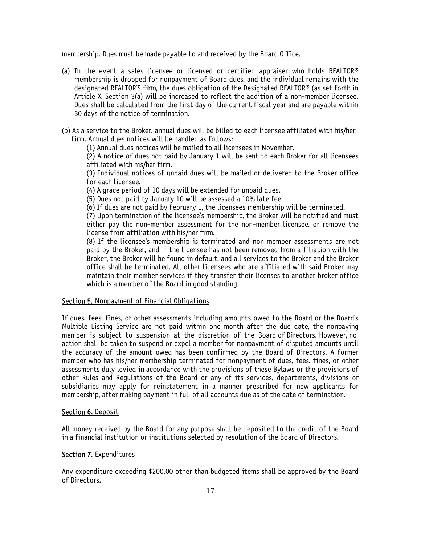membership. Dues must be made payable to and received by the Board Office.

- (a) In the event a sales licensee or licensed or certified appraiser who holds REALTOR® membership is dropped for nonpayment of Board dues, and the individual remains with the designated REALTOR'S firm, the dues obligation of the Designated REALTOR® (as set forth in Article X, Section 3(a) will be increased to reflect the addition of a non-member licensee. Dues shall be calculated from the first day of the current fiscal year and are payable within 30 days of the notice of termination.
- (b) As a service to the Broker, annual dues will be billed to each licensee affiliated with his/her firm. Annual dues notices will be handled as follows:

(1) Annual dues notices will be mailed to all licensees in November.

(2) A notice of dues not paid by January 1 will be sent to each Broker for all licensees affiliated with his/her firm.

(3) Individual notices of unpaid dues will be mailed or delivered to the Broker office for each licensee.

(4) A grace period of 10 days will be extended for unpaid dues.

(5) Dues not paid by January 10 will be assessed a 10% late fee.

(6) If dues are not paid by February 1, the licensees membership will be terminated.

(7) Upon termination of the licensee's membership, the Broker will be notified and must either pay the non-member assessment for the non-member licensee, or remove the license from affiliation with his/her firm.

(8) If the licensee's membership is terminated and non member assessments are not paid by the Broker, and if the licensee has not been removed from affiliation with the Broker, the Broker will be found in default, and all services to the Broker and the Broker office shall be terminated. All other licensees who are affiliated with said Broker may maintain their member services if they transfer their licenses to another broker office which is a member of the Board in good standing.

## Section 5. Nonpayment of Financial Obligations

If dues, fees, fines, or other assessments including amounts owed to the Board or the Board's Multiple Listing Service are not paid within one month after the due date, the nonpaying member is subject to suspension at the discretion of the Board of Directors. However, no action shall be taken to suspend or expel a member for nonpayment of disputed amounts until the accuracy of the amount owed has been confirmed by the Board of Directors. A former member who has his/her membership terminated for nonpayment of dues, fees, fines, or other assessments duly levied in accordance with the provisions of these Bylaws or the provisions of other Rules and Regulations of the Board or any of its services, departments, divisions or subsidiaries may apply for reinstatement in a manner prescribed for new applicants for membership, after making payment in full of all accounts due as of the date of termination.

#### Section 6. Deposit

All money received by the Board for any purpose shall be deposited to the credit of the Board in a financial institution or institutions selected by resolution of the Board of Directors.

## Section 7. Expenditures

Any expenditure exceeding \$200.00 other than budgeted items shall be approved by the Board of Directors.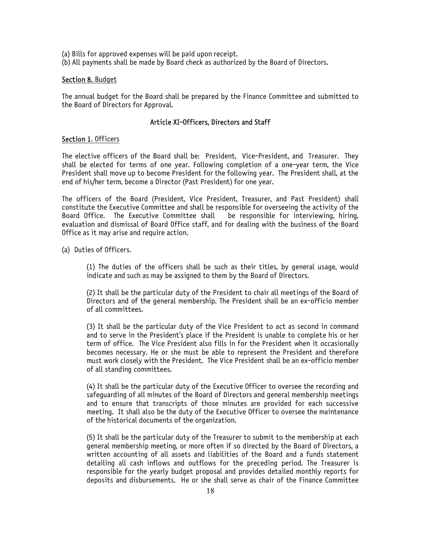- (a) Bills for approved expenses will be paid upon receipt.
- (b) All payments shall be made by Board check as authorized by the Board of Directors.

### Section 8. Budget

The annual budget for the Board shall be prepared by the Finance Committee and submitted to the Board of Directors for Approval.

## Article XI-Officers, Directors and Staff

### Section 1. Officers

The elective officers of the Board shall be: President, Vice-President, and Treasurer. They shall be elected for terms of one year. Following completion of a one-year term, the Vice President shall move up to become President for the following year. The President shall, at the end of his/her term, become a Director (Past President) for one year.

The officers of the Board (President, Vice President, Treasurer, and Past President) shall constitute the Executive Committee and shall be responsible for overseeing the activity of the Board Office. The Executive Committee shall be responsible for interviewing, hiring, evaluation and dismissal of Board Office staff, and for dealing with the business of the Board Office as it may arise and require action.

(a) Duties of Officers.

(1) The duties of the officers shall be such as their titles, by general usage, would indicate and such as may be assigned to them by the Board of Directors.

(2) It shall be the particular duty of the President to chair all meetings of the Board of Directors and of the general membership. The President shall be an ex-officio member of all committees.

(3) It shall be the particular duty of the Vice President to act as second in command and to serve in the President's place if the President is unable to complete his or her term of office. The Vice President also fills in for the President when it occasionally becomes necessary. He or she must be able to represent the President and therefore must work closely with the President. The Vice President shall be an ex-officio member of all standing committees.

(4) It shall be the particular duty of the Executive Officer to oversee the recording and safeguarding of all minutes of the Board of Directors and general membership meetings and to ensure that transcripts of those minutes are provided for each successive meeting. It shall also be the duty of the Executive Officer to oversee the maintenance of the historical documents of the organization.

(5) It shall be the particular duty of the Treasurer to submit to the membership at each general membership meeting, or more often if so directed by the Board of Directors, a written accounting of all assets and liabilities of the Board and a funds statement detailing all cash inflows and outflows for the preceding period. The Treasurer is responsible for the yearly budget proposal and provides detailed monthly reports for deposits and disbursements. He or she shall serve as chair of the Finance Committee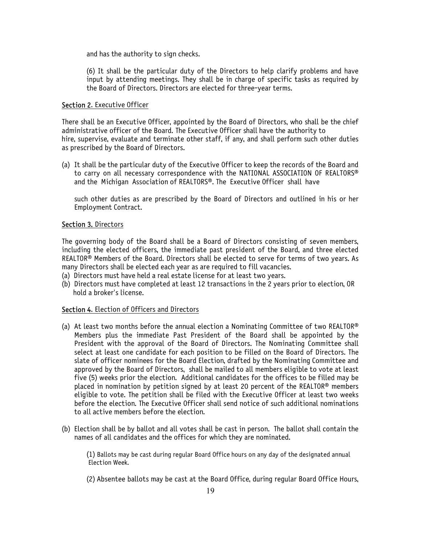and has the authority to sign checks.

(6) It shall be the particular duty of the Directors to help clarify problems and have input by attending meetings. They shall be in charge of specific tasks as required by the Board of Directors. Directors are elected for three-year terms.

## Section 2. Executive Officer

There shall be an Executive Officer, appointed by the Board of Directors, who shall be the chief administrative officer of the Board. The Executive Officer shall have the authority to hire, supervise, evaluate and terminate other staff, if any, and shall perform such other duties as prescribed by the Board of Directors.

(a) It shall be the particular duty of the Executive Officer to keep the records of the Board and to carry on all necessary correspondence with the NATIONAL ASSOCIATION OF REALTORS® and the Michigan Association of REALTORS®. The Executive Officer shall have

such other duties as are prescribed by the Board of Directors and outlined in his or her Employment Contract.

## Section 3. Directors

The governing body of the Board shall be a Board of Directors consisting of seven members, including the elected officers, the immediate past president of the Board, and three elected REALTOR® Members of the Board. Directors shall be elected to serve for terms of two years. As many Directors shall be elected each year as are required to fill vacancies.

- (a) Directors must have held a real estate license for at least two years.
- (b) Directors must have completed at least 12 transactions in the 2 years prior to election, OR hold a broker's license.

## Section 4. Election of Officers and Directors

- (a) At least two months before the annual election a Nominating Committee of two REALTOR® Members plus the immediate Past President of the Board shall be appointed by the President with the approval of the Board of Directors. The Nominating Committee shall select at least one candidate for each position to be filled on the Board of Directors. The slate of officer nominees for the Board Election, drafted by the Nominating Committee and approved by the Board of Directors, shall be mailed to all members eligible to vote at least five (5) weeks prior the election. Additional candidates for the offices to be filled may be placed in nomination by petition signed by at least 20 percent of the REALTOR® members eligible to vote. The petition shall be filed with the Executive Officer at least two weeks before the election. The Executive Officer shall send notice of such additional nominations to all active members before the election.
- (b) Election shall be by ballot and all votes shall be cast in person. The ballot shall contain the names of all candidates and the offices for which they are nominated.

(1) Ballots may be cast during regular Board Office hours on any day of the designated annual Election Week.

(2) Absentee ballots may be cast at the Board Office, during regular Board Office Hours,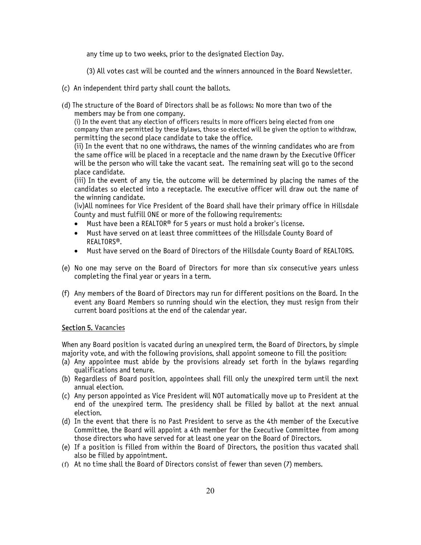any time up to two weeks, prior to the designated Election Day.

(3) All votes cast will be counted and the winners announced in the Board Newsletter.

- (c) An independent third party shall count the ballots.
- (d) The structure of the Board of Directors shall be as follows: No more than two of the members may be from one company.

(i) In the event that any election of officers results in more officers being elected from one company than are permitted by these Bylaws, those so elected will be given the option to withdraw, permitting the second place candidate to take the office.

(ii) In the event that no one withdraws, the names of the winning candidates who are from the same office will be placed in a receptacle and the name drawn by the Executive Officer will be the person who will take the vacant seat. The remaining seat will go to the second place candidate.

(iii) In the event of any tie, the outcome will be determined by placing the names of the candidates so elected into a receptacle. The executive officer will draw out the name of the winning candidate.

(iv)All nominees for Vice President of the Board shall have their primary office in Hillsdale County and must fulfill ONE or more of the following requirements:

- $\bullet$  Must have been a REALTOR® for 5 years or must hold a broker's license.
- Must have served on at least three committees of the Hillsdale County Board of REALTORS®.
- Must have served on the Board of Directors of the Hillsdale County Board of REALTORS.
- (e) No one may serve on the Board of Directors for more than six consecutive years unless completing the final year or years in a term.
- (f) Any members of the Board of Directors may run for different positions on the Board. In the event any Board Members so running should win the election, they must resign from their current board positions at the end of the calendar year.

## Section 5. Vacancies

When any Board position is vacated during an unexpired term, the Board of Directors, by simple majority vote, and with the following provisions, shall appoint someone to fill the position:

- (a) Any appointee must abide by the provisions already set forth in the bylaws regarding qualifications and tenure.
- (b) Regardless of Board position, appointees shall fill only the unexpired term until the next annual election.
- (c) Any person appointed as Vice President will NOT automatically move up to President at the end of the unexpired term. The presidency shall be filled by ballot at the next annual election.
- (d) In the event that there is no Past President to serve as the 4th member of the Executive Committee, the Board will appoint a 4th member for the Executive Committee from among those directors who have served for at least one year on the Board of Directors.
- (e) If a position is filled from within the Board of Directors, the position thus vacated shall also be filled by appointment.
- (f) At no time shall the Board of Directors consist of fewer than seven (7) members.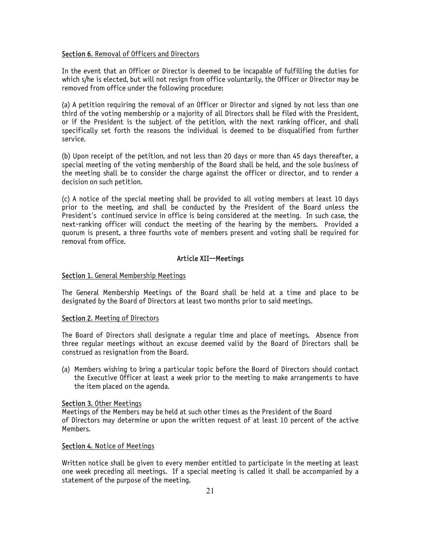#### Section 6. Removal of Officers and Directors

In the event that an Officer or Director is deemed to be incapable of fulfilling the duties for which s/he is elected, but will not resign from office voluntarily, the Officer or Director may be removed from office under the following procedure:

(a) A petition requiring the removal of an Officer or Director and signed by not less than one third of the voting membership or a majority of all Directors shall be filed with the President, or if the President is the subject of the petition, with the next ranking officer, and shall specifically set forth the reasons the individual is deemed to be disqualified from further service.

(b) Upon receipt of the petition, and not less than 20 days or more than 45 days thereafter, a special meeting of the voting membership of the Board shall be held, and the sole business of the meeting shall be to consider the charge against the officer or director, and to render a decision on such petition.

(c) A notice of the special meeting shall be provided to all voting members at least 10 days prior to the meeting, and shall be conducted by the President of the Board unless the President's continued service in office is being considered at the meeting. In such case, the next-ranking officer will conduct the meeting of the hearing by the members. Provided a quorum is present, a three fourths vote of members present and voting shall be required for removal from office.

# Article XII--Meetings

## Section 1. General Membership Meetings

The General Membership Meetings of the Board shall be held at a time and place to be designated by the Board of Directors at least two months prior to said meetings.

#### Section 2. Meeting of Directors

The Board of Directors shall designate a regular time and place of meetings. Absence from three regular meetings without an excuse deemed valid by the Board of Directors shall be construed as resignation from the Board.

(a) Members wishing to bring a particular topic before the Board of Directors should contact the Executive Officer at least a week prior to the meeting to make arrangements to have the item placed on the agenda.

#### Section 3. Other Meetings

Meetings of the Members may be held at such other times as the President of the Board of Directors may determine or upon the written request of at least 10 percent of the active Members.

## Section 4. Notice of Meetings

Written notice shall be given to every member entitled to participate in the meeting at least one week preceding all meetings. If a special meeting is called it shall be accompanied by a statement of the purpose of the meeting.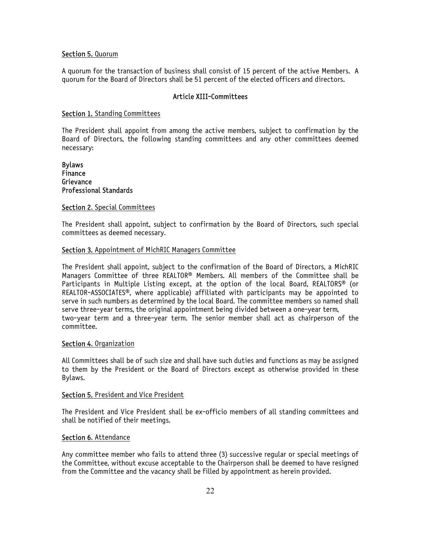#### Section 5. Quorum

A quorum for the transaction of business shall consist of 15 percent of the active Members. A quorum for the Board of Directors shall be 51 percent of the elected officers and directors.

## Article XIII-Committees

## Section 1. Standing Committees

The President shall appoint from among the active members, subject to confirmation by the Board of Directors, the following standing committees and any other committees deemed necessary:

## Bylaws Finance **Grievance** Professional Standards

### Section 2. Special Committees

The President shall appoint, subject to confirmation by the Board of Directors, such special committees as deemed necessary.

### Section 3. Appointment of MichRIC Managers Committee

The President shall appoint, subject to the confirmation of the Board of Directors, a MichRIC Managers Committee of three REALTOR® Members. All members of the Committee shall be Participants in Multiple Listing except, at the option of the local Board, REALTORS® (or REALTOR-ASSOCIATES®, where applicable) affiliated with participants may be appointed to serve in such numbers as determined by the local Board. The committee members so named shall serve three-year terms, the original appointment being divided between a one-year term, two-year term and a three-year term. The senior member shall act as chairperson of the committee.

#### Section 4. Organization

All Committees shall be of such size and shall have such duties and functions as may be assigned to them by the President or the Board of Directors except as otherwise provided in these Bylaws.

#### Section 5. President and Vice President

The President and Vice President shall be ex-officio members of all standing committees and shall be notified of their meetings.

#### Section 6. Attendance

Any committee member who fails to attend three (3) successive regular or special meetings of the Committee, without excuse acceptable to the Chairperson shall be deemed to have resigned from the Committee and the vacancy shall be filled by appointment as herein provided.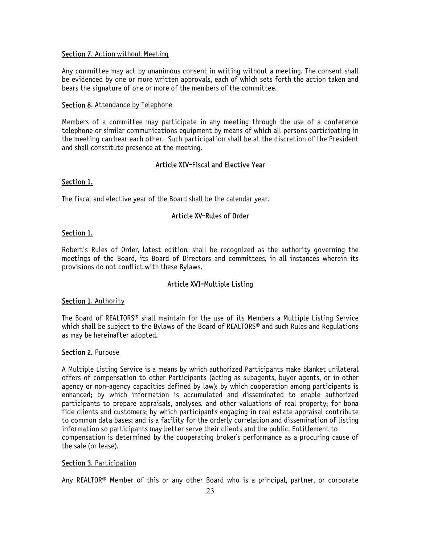## Section 7. Action without Meeting

Any committee may act by unanimous consent in writing without a meeting. The consent shall be evidenced by one or more written approvals, each of which sets forth the action taken and bears the signature of one or more of the members of the committee.

## Section 8. Attendance by Telephone

Members of a committee may participate in any meeting through the use of a conference telephone or similar communications equipment by means of which all persons participating in the meeting can hear each other. Such participation shall be at the discretion of the President and shall constitute presence at the meeting.

# Article XIV-Fiscal and Elective Year

## Section 1.

The fiscal and elective year of the Board shall be the calendar year.

# Article XV-Rules of Order

### Section 1.

Robert's Rules of Order, latest edition, shall be recognized as the authority governing the meetings of the Board, its Board of Directors and committees, in all instances wherein its provisions do not conflict with these Bylaws.

## Article XVI-Multiple Listing

## Section 1. Authority

The Board of REALTORS® shall maintain for the use of its Members a Multiple Listing Service which shall be subject to the Bylaws of the Board of REALTORS® and such Rules and Regulations as may be hereinafter adopted.

#### Section 2. Purpose

A Multiple Listing Service is a means by which authorized Participants make blanket unilateral offers of compensation to other Participants (acting as subagents, buyer agents, or in other agency or non-agency capacities defined by law); by which cooperation among participants is enhanced; by which information is accumulated and disseminated to enable authorized participants to prepare appraisals, analyses, and other valuations of real property; for bona fide clients and customers; by which participants engaging in real estate appraisal contribute to common data bases; and is a facility for the orderly correlation and dissemination of listing information so participants may better serve their clients and the public. Entitlement to compensation is determined by the cooperating broker's performance as a procuring cause of the sale (or lease).

## Section 3. Participation

Any REALTOR® Member of this or any other Board who is a principal, partner, or corporate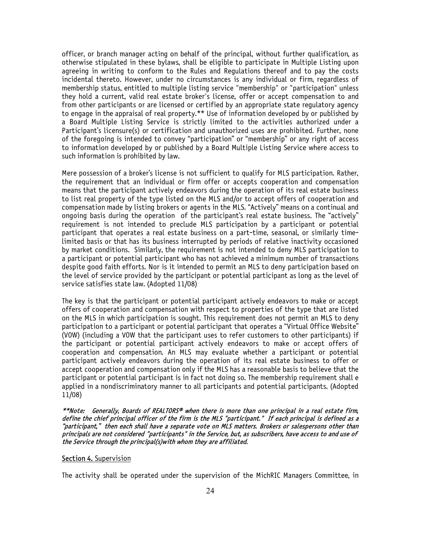officer, or branch manager acting on behalf of the principal, without further qualification, as otherwise stipulated in these bylaws, shall be eligible to participate in Multiple Listing upon agreeing in writing to conform to the Rules and Regulations thereof and to pay the costs incidental thereto. However, under no circumstances is any individual or firm, regardless of membership status, entitled to multiple listing service "membership" or "participation" unless they hold a current, valid real estate broker's license, offer or accept compensation to and from other participants or are licensed or certified by an appropriate state regulatory agency to engage in the appraisal of real property.\*\* Use of information developed by or published by a Board Multiple Listing Service is strictly limited to the activities authorized under a Participant's licensure(s) or certification and unauthorized uses are prohibited. Further, none of the foregoing is intended to convey "participation" or "membership" or any right of access to information developed by or published by a Board Multiple Listing Service where access to such information is prohibited by law.

Mere possession of a broker's license is not sufficient to qualify for MLS participation. Rather, the requirement that an individual or firm offer or accepts cooperation and compensation means that the participant actively endeavors during the operation of its real estate business to list real property of the type listed on the MLS and/or to accept offers of cooperation and compensation made by listing brokers or agents in the MLS. "Actively" means on a continual and ongoing basis during the operation of the participant's real estate business. The "actively" requirement is not intended to preclude MLS participation by a participant or potential participant that operates a real estate business on a part-time, seasonal, or similarly timelimited basis or that has its business interrupted by periods of relative inactivity occasioned by market conditions. Similarly, the requirement is not intended to deny MLS participation to a participant or potential participant who has not achieved a minimum number of transactions despite good faith efforts. Nor is it intended to permit an MLS to deny participation based on the level of service provided by the participant or potential participant as long as the level of service satisfies state law. (Adopted 11/08)

The key is that the participant or potential participant actively endeavors to make or accept offers of cooperation and compensation with respect to properties of the type that are listed on the MLS in which participation is sought. This requirement does not permit an MLS to deny participation to a participant or potential participant that operates a "Virtual Office Website" (VOW) (including a VOW that the participant uses to refer customers to other participants) if the participant or potential participant actively endeavors to make or accept offers of cooperation and compensation. An MLS may evaluate whether a participant or potential participant actively endeavors during the operation of its real estate business to offer or accept cooperation and compensation only if the MLS has a reasonable basis to believe that the participant or potential participant is in fact not doing so. The membership requirement shall e applied in a nondiscriminatory manner to all participants and potential participants. (Adopted 11/08)

\*\*Note: Generally, Boards of REALTORS® when there is more than one principal in a real estate firm, define the chief principal officer of the firm is the MLS "participant." If each principal is defined as a "participant," then each shall have a separate vote on MLS matters. Brokers or salespersons other than principals are not considered "participants" in the Service, but, as subscribers, have access to and use of the Service through the principal(s)with whom they are affiliated.

#### Section 4. Supervision

The activity shall be operated under the supervision of the MichRIC Managers Committee, in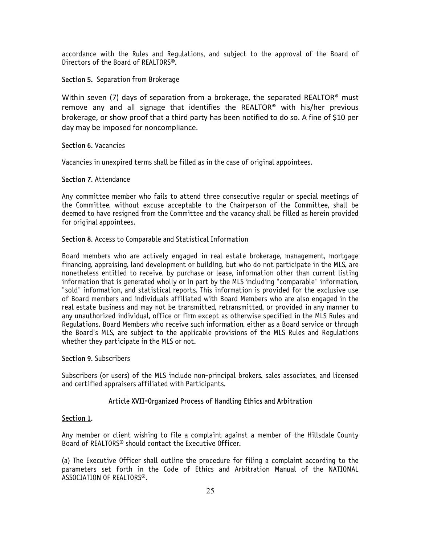accordance with the Rules and Regulations, and subject to the approval of the Board of Directors of the Board of REALTORS<sup>®</sup>.

# Section 5. Separation from Brokerage

Within seven (7) days of separation from a brokerage, the separated REALTOR<sup>®</sup> must remove any and all signage that identifies the REALTOR® with his/her previous brokerage, or show proof that a third party has been notified to do so. A fine of \$10 per day may be imposed for noncompliance.

## Section 6. Vacancies

Vacancies in unexpired terms shall be filled as in the case of original appointees.

## Section 7. Attendance

Any committee member who fails to attend three consecutive regular or special meetings of the Committee, without excuse acceptable to the Chairperson of the Committee, shall be deemed to have resigned from the Committee and the vacancy shall be filled as herein provided for original appointees.

# Section 8. Access to Comparable and Statistical Information

Board members who are actively engaged in real estate brokerage, management, mortgage financing, appraising, land development or building, but who do not participate in the MLS, are nonetheless entitled to receive, by purchase or lease, information other than current listing information that is generated wholly or in part by the MLS including "comparable" information, "sold" information, and statistical reports. This information is provided for the exclusive use of Board members and individuals affiliated with Board Members who are also engaged in the real estate business and may not be transmitted, retransmitted, or provided in any manner to any unauthorized individual, office or firm except as otherwise specified in the MLS Rules and Regulations. Board Members who receive such information, either as a Board service or through the Board's MLS, are subject to the applicable provisions of the MLS Rules and Regulations whether they participate in the MLS or not.

## Section 9. Subscribers

Subscribers (or users) of the MLS include non-principal brokers, sales associates, and licensed and certified appraisers affiliated with Participants.

# Article XVII-Organized Process of Handling Ethics and Arbitration

## Section 1.

Any member or client wishing to file a complaint against a member of the Hillsdale County Board of REALTORS® should contact the Executive Officer.

(a) The Executive Officer shall outline the procedure for filing a complaint according to the parameters set forth in the Code of Ethics and Arbitration Manual of the NATIONAL ASSOCIATION OF REALTORS®.